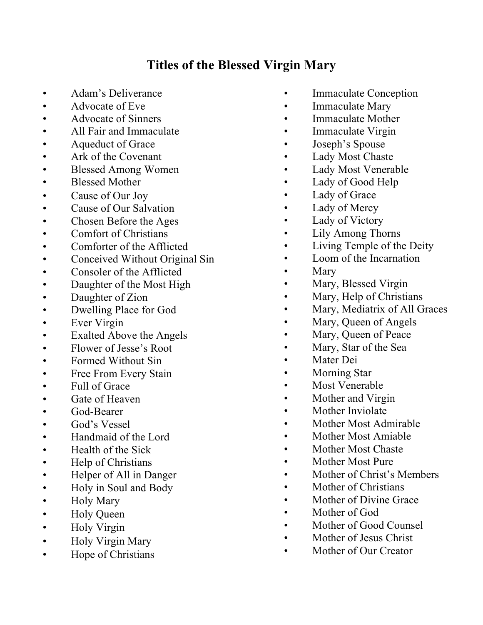## **Titles of the Blessed Virgin Mary**

- Adam's Deliverance
- Advocate of Eve
- Advocate of Sinners
- All Fair and Immaculate
- Aqueduct of Grace
- Ark of the Covenant
- Blessed Among Women
- Blessed Mother
- Cause of Our Joy
- Cause of Our Salvation
- Chosen Before the Ages
- Comfort of Christians
- Comforter of the Afflicted
- Conceived Without Original Sin
- Consoler of the Afflicted
- Daughter of the Most High
- Daughter of Zion
- Dwelling Place for God
- Ever Virgin
- Exalted Above the Angels
- Flower of Jesse's Root
- Formed Without Sin
- Free From Every Stain
- Full of Grace
- Gate of Heaven
- God-Bearer
- God's Vessel
- Handmaid of the Lord
- Health of the Sick
- Help of Christians
- Helper of All in Danger
- Holy in Soul and Body
- Holy Mary
- Holy Queen
- Holy Virgin
- Holy Virgin Mary
- Hope of Christians
- Immaculate Conception
- Immaculate Mary
- Immaculate Mother
- Immaculate Virgin
- Joseph's Spouse
- Lady Most Chaste
- Lady Most Venerable
- Lady of Good Help
- Lady of Grace
- Lady of Mercy
- Lady of Victory
- Lily Among Thorns
- Living Temple of the Deity
- Loom of the Incarnation
- **Mary**
- Mary, Blessed Virgin
- Mary, Help of Christians
- Mary, Mediatrix of All Graces
- Mary, Queen of Angels
	- Mary, Queen of Peace
- Mary, Star of the Sea
- Mater Dei
- Morning Star
- Most Venerable
- Mother and Virgin
- Mother Inviolate
- Mother Most Admirable
- Mother Most Amiable
- Mother Most Chaste
- Mother Most Pure
- Mother of Christ's Members
- Mother of Christians
- Mother of Divine Grace
- Mother of God
- Mother of Good Counsel
- Mother of Jesus Christ
- Mother of Our Creator